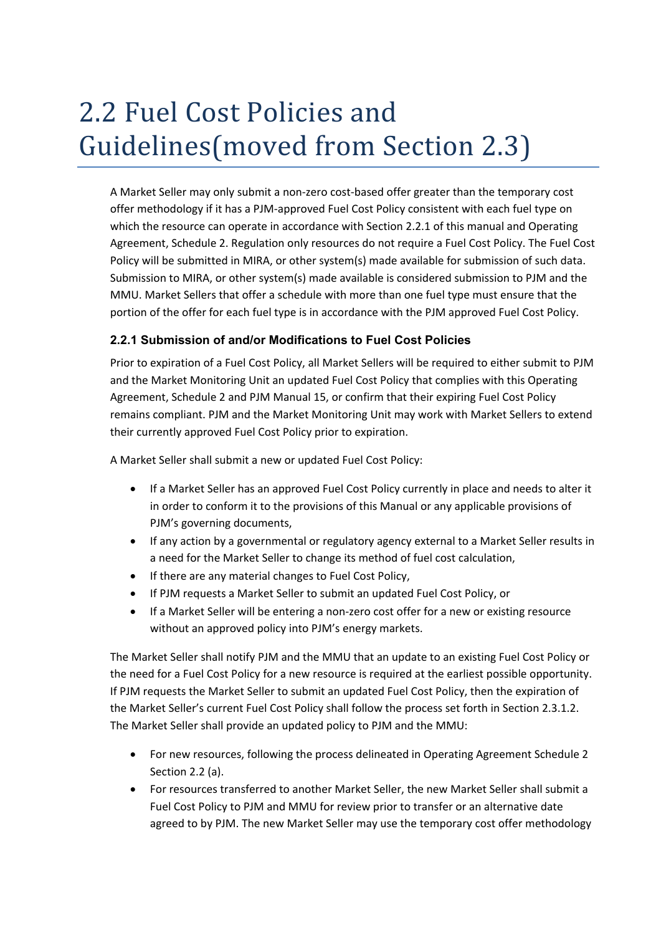# 2.2 Fuel Cost Policies and Guidelines(moved from Section 2.3)

A Market Seller may only submit a non-zero cost-based offer greater than the temporary cost offer methodology if it has a PJM-approved Fuel Cost Policy consistent with each fuel type on which the resource can operate in accordance with Section 2.2.1 of this manual and Operating Agreement, Schedule 2. Regulation only resources do not require a Fuel Cost Policy. The Fuel Cost Policy will be submitted in MIRA, or other system(s) made available for submission of such data. Submission to MIRA, or other system(s) made available is considered submission to PJM and the MMU. Market Sellers that offer a schedule with more than one fuel type must ensure that the portion of the offer for each fuel type is in accordance with the PJM approved Fuel Cost Policy.

#### **2.2.1 Submission of and/or Modifications to Fuel Cost Policies**

Prior to expiration of a Fuel Cost Policy, all Market Sellers will be required to either submit to PJM and the Market Monitoring Unit an updated Fuel Cost Policy that complies with this Operating Agreement, Schedule 2 and PJM Manual 15, or confirm that their expiring Fuel Cost Policy remains compliant. PJM and the Market Monitoring Unit may work with Market Sellers to extend their currently approved Fuel Cost Policy prior to expiration.

A Market Seller shall submit a new or updated Fuel Cost Policy:

- If a Market Seller has an approved Fuel Cost Policy currently in place and needs to alter it in order to conform it to the provisions of this Manual or any applicable provisions of PJM's governing documents,
- If any action by a governmental or regulatory agency external to a Market Seller results in a need for the Market Seller to change its method of fuel cost calculation,
- If there are any material changes to Fuel Cost Policy,
- If PJM requests a Market Seller to submit an updated Fuel Cost Policy, or
- If a Market Seller will be entering a non-zero cost offer for a new or existing resource without an approved policy into PJM's energy markets.

The Market Seller shall notify PJM and the MMU that an update to an existing Fuel Cost Policy or the need for a Fuel Cost Policy for a new resource is required at the earliest possible opportunity. If PJM requests the Market Seller to submit an updated Fuel Cost Policy, then the expiration of the Market Seller's current Fuel Cost Policy shall follow the process set forth in Section 2.3.1.2. The Market Seller shall provide an updated policy to PJM and the MMU:

- For new resources, following the process delineated in Operating Agreement Schedule 2 Section 2.2 (a).
- For resources transferred to another Market Seller, the new Market Seller shall submit a Fuel Cost Policy to PJM and MMU for review prior to transfer or an alternative date agreed to by PJM. The new Market Seller may use the temporary cost offer methodology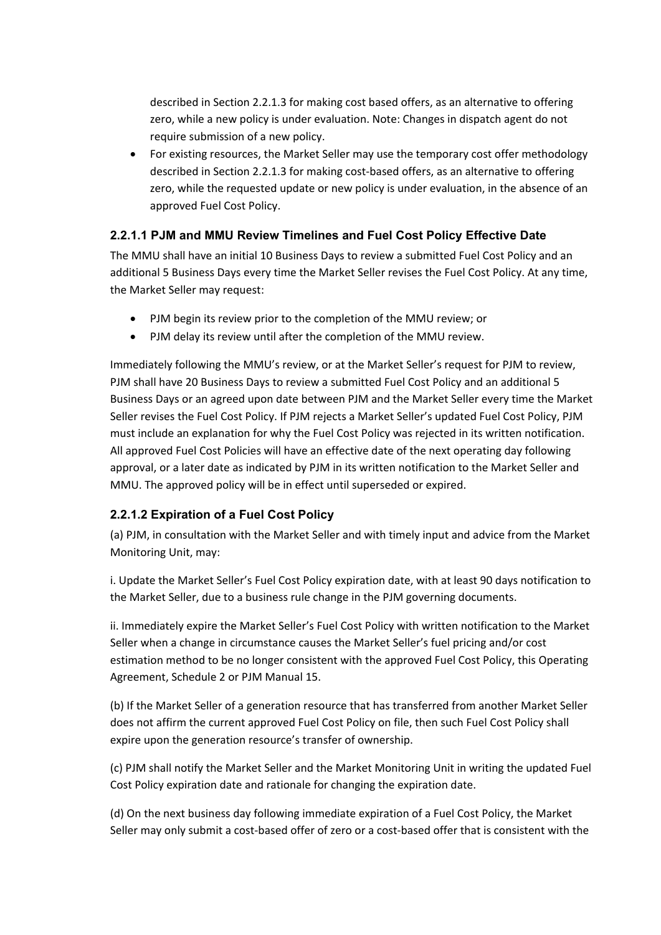described in Section 2.2.1.3 for making cost based offers, as an alternative to offering zero, while a new policy is under evaluation. Note: Changes in dispatch agent do not require submission of a new policy.

• For existing resources, the Market Seller may use the temporary cost offer methodology described in Section 2.2.1.3 for making cost-based offers, as an alternative to offering zero, while the requested update or new policy is under evaluation, in the absence of an approved Fuel Cost Policy.

# **2.2.1.1 PJM and MMU Review Timelines and Fuel Cost Policy Effective Date**

The MMU shall have an initial 10 Business Days to review a submitted Fuel Cost Policy and an additional 5 Business Days every time the Market Seller revises the Fuel Cost Policy. At any time, the Market Seller may request:

- PJM begin its review prior to the completion of the MMU review; or
- PJM delay its review until after the completion of the MMU review.

Immediately following the MMU's review, or at the Market Seller's request for PJM to review, PJM shall have 20 Business Days to review a submitted Fuel Cost Policy and an additional 5 Business Days or an agreed upon date between PJM and the Market Seller every time the Market Seller revises the Fuel Cost Policy. If PJM rejects a Market Seller's updated Fuel Cost Policy, PJM must include an explanation for why the Fuel Cost Policy was rejected in its written notification. All approved Fuel Cost Policies will have an effective date of the next operating day following approval, or a later date as indicated by PJM in its written notification to the Market Seller and MMU. The approved policy will be in effect until superseded or expired.

# **2.2.1.2 Expiration of a Fuel Cost Policy**

(a) PJM, in consultation with the Market Seller and with timely input and advice from the Market Monitoring Unit, may:

i. Update the Market Seller's Fuel Cost Policy expiration date, with at least 90 days notification to the Market Seller, due to a business rule change in the PJM governing documents.

ii. Immediately expire the Market Seller's Fuel Cost Policy with written notification to the Market Seller when a change in circumstance causes the Market Seller's fuel pricing and/or cost estimation method to be no longer consistent with the approved Fuel Cost Policy, this Operating Agreement, Schedule 2 or PJM Manual 15.

(b) If the Market Seller of a generation resource that has transferred from another Market Seller does not affirm the current approved Fuel Cost Policy on file, then such Fuel Cost Policy shall expire upon the generation resource's transfer of ownership.

(c) PJM shall notify the Market Seller and the Market Monitoring Unit in writing the updated Fuel Cost Policy expiration date and rationale for changing the expiration date.

(d) On the next business day following immediate expiration of a Fuel Cost Policy, the Market Seller may only submit a cost-based offer of zero or a cost-based offer that is consistent with the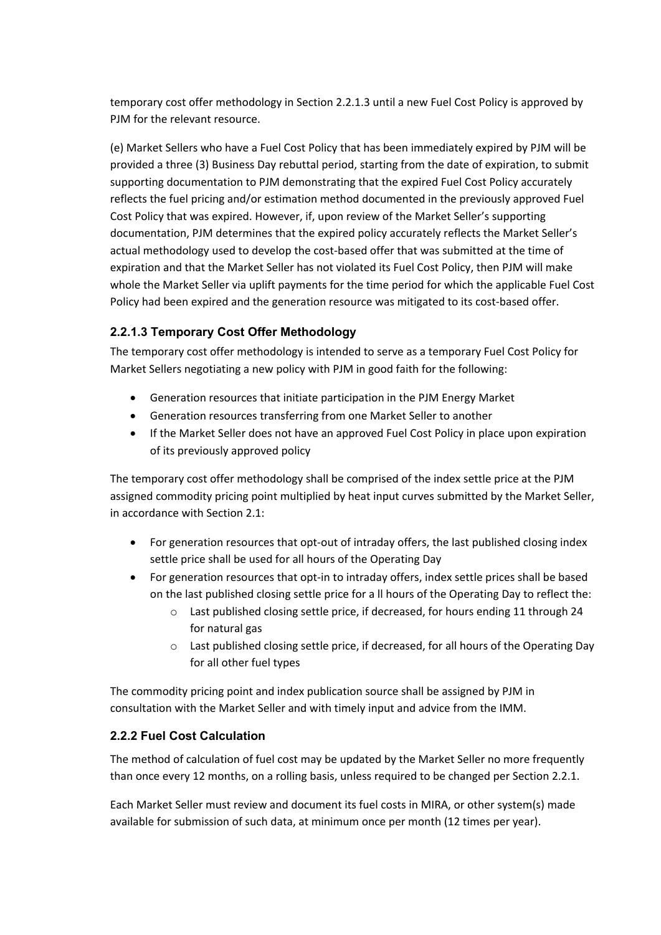temporary cost offer methodology in Section 2.2.1.3 until a new Fuel Cost Policy is approved by PJM for the relevant resource.

(e) Market Sellers who have a Fuel Cost Policy that has been immediately expired by PJM will be provided a three (3) Business Day rebuttal period, starting from the date of expiration, to submit supporting documentation to PJM demonstrating that the expired Fuel Cost Policy accurately reflects the fuel pricing and/or estimation method documented in the previously approved Fuel Cost Policy that was expired. However, if, upon review of the Market Seller's supporting documentation, PJM determines that the expired policy accurately reflects the Market Seller's actual methodology used to develop the cost-based offer that was submitted at the time of expiration and that the Market Seller has not violated its Fuel Cost Policy, then PJM will make whole the Market Seller via uplift payments for the time period for which the applicable Fuel Cost Policy had been expired and the generation resource was mitigated to its cost-based offer.

# **2.2.1.3 Temporary Cost Offer Methodology**

The temporary cost offer methodology is intended to serve as a temporary Fuel Cost Policy for Market Sellers negotiating a new policy with PJM in good faith for the following:

- Generation resources that initiate participation in the PJM Energy Market
- Generation resources transferring from one Market Seller to another
- If the Market Seller does not have an approved Fuel Cost Policy in place upon expiration of its previously approved policy

The temporary cost offer methodology shall be comprised of the index settle price at the PJM assigned commodity pricing point multiplied by heat input curves submitted by the Market Seller, in accordance with Section 2.1:

- For generation resources that opt-out of intraday offers, the last published closing index settle price shall be used for all hours of the Operating Day
- For generation resources that opt-in to intraday offers, index settle prices shall be based on the last published closing settle price for a ll hours of the Operating Day to reflect the:
	- o Last published closing settle price, if decreased, for hours ending 11 through 24 for natural gas
	- o Last published closing settle price, if decreased, for all hours of the Operating Day for all other fuel types

The commodity pricing point and index publication source shall be assigned by PJM in consultation with the Market Seller and with timely input and advice from the IMM.

# **2.2.2 Fuel Cost Calculation**

The method of calculation of fuel cost may be updated by the Market Seller no more frequently than once every 12 months, on a rolling basis, unless required to be changed per Section 2.2.1.

Each Market Seller must review and document its fuel costs in MIRA, or other system(s) made available for submission of such data, at minimum once per month (12 times per year).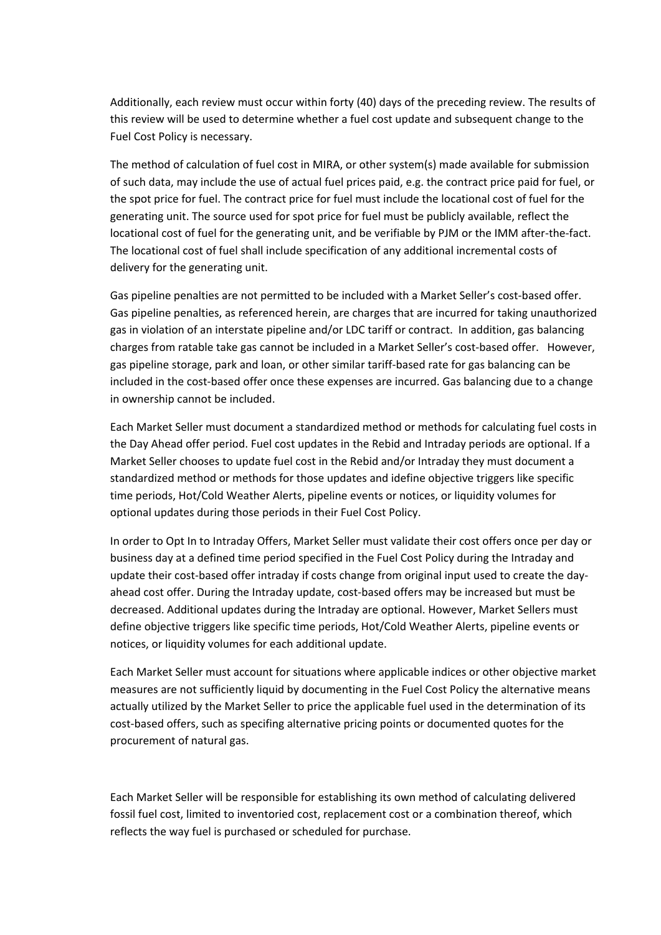Additionally, each review must occur within forty (40) days of the preceding review. The results of this review will be used to determine whether a fuel cost update and subsequent change to the Fuel Cost Policy is necessary.

The method of calculation of fuel cost in MIRA, or other system(s) made available for submission of such data, may include the use of actual fuel prices paid, e.g. the contract price paid for fuel, or the spot price for fuel. The contract price for fuel must include the locational cost of fuel for the generating unit. The source used for spot price for fuel must be publicly available, reflect the locational cost of fuel for the generating unit, and be verifiable by PJM or the IMM after-the-fact. The locational cost of fuel shall include specification of any additional incremental costs of delivery for the generating unit.

Gas pipeline penalties are not permitted to be included with a Market Seller's cost-based offer. Gas pipeline penalties, as referenced herein, are charges that are incurred for taking unauthorized gas in violation of an interstate pipeline and/or LDC tariff or contract. In addition, gas balancing charges from ratable take gas cannot be included in a Market Seller's cost-based offer. However, gas pipeline storage, park and loan, or other similar tariff-based rate for gas balancing can be included in the cost-based offer once these expenses are incurred. Gas balancing due to a change in ownership cannot be included.

Each Market Seller must document a standardized method or methods for calculating fuel costs in the Day Ahead offer period. Fuel cost updates in the Rebid and Intraday periods are optional. If a Market Seller chooses to update fuel cost in the Rebid and/or Intraday they must document a standardized method or methods for those updates and idefine objective triggers like specific time periods, Hot/Cold Weather Alerts, pipeline events or notices, or liquidity volumes for optional updates during those periods in their Fuel Cost Policy.

In order to Opt In to Intraday Offers, Market Seller must validate their cost offers once per day or business day at a defined time period specified in the Fuel Cost Policy during the Intraday and update their cost-based offer intraday if costs change from original input used to create the dayahead cost offer. During the Intraday update, cost-based offers may be increased but must be decreased. Additional updates during the Intraday are optional. However, Market Sellers must define objective triggers like specific time periods, Hot/Cold Weather Alerts, pipeline events or notices, or liquidity volumes for each additional update.

Each Market Seller must account for situations where applicable indices or other objective market measures are not sufficiently liquid by documenting in the Fuel Cost Policy the alternative means actually utilized by the Market Seller to price the applicable fuel used in the determination of its cost-based offers, such as specifing alternative pricing points or documented quotes for the procurement of natural gas.

Each Market Seller will be responsible for establishing its own method of calculating delivered fossil fuel cost, limited to inventoried cost, replacement cost or a combination thereof, which reflects the way fuel is purchased or scheduled for purchase.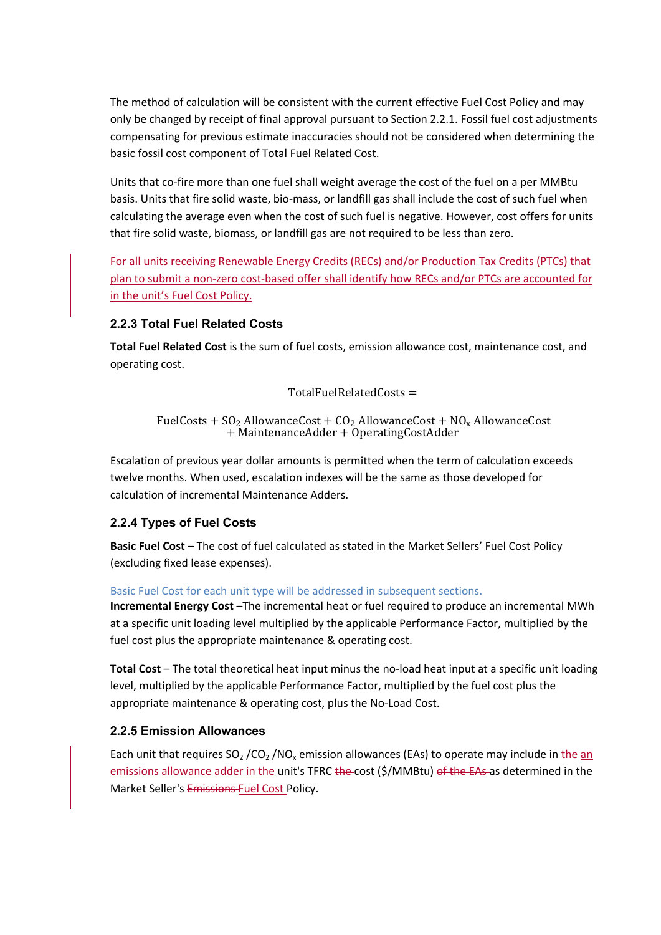The method of calculation will be consistent with the current effective Fuel Cost Policy and may only be changed by receipt of final approval pursuant to Section 2.2.1. Fossil fuel cost adjustments compensating for previous estimate inaccuracies should not be considered when determining the basic fossil cost component of Total Fuel Related Cost.

Units that co-fire more than one fuel shall weight average the cost of the fuel on a per MMBtu basis. Units that fire solid waste, bio-mass, or landfill gas shall include the cost of such fuel when calculating the average even when the cost of such fuel is negative. However, cost offers for units that fire solid waste, biomass, or landfill gas are not required to be less than zero.

For all units receiving Renewable Energy Credits (RECs) and/or Production Tax Credits (PTCs) that plan to submit a non-zero cost-based offer shall identify how RECs and/or PTCs are accounted for in the unit's Fuel Cost Policy.

#### **2.2.3 Total Fuel Related Costs**

**Total Fuel Related Cost** is the sum of fuel costs, emission allowance cost, maintenance cost, and operating cost.

 $TotalFuelRelatedCosts =$ 

FuelCosts +  $SO_2$  AllowanceCost +  $CO_2$  AllowanceCost +  $NO_x$  AllowanceCost + MaintenanceAdder + OperatingCostAdder

Escalation of previous year dollar amounts is permitted when the term of calculation exceeds twelve months. When used, escalation indexes will be the same as those developed for calculation of incremental Maintenance Adders.

#### **2.2.4 Types of Fuel Costs**

**Basic Fuel Cost** – The cost of fuel calculated as stated in the Market Sellers' Fuel Cost Policy (excluding fixed lease expenses).

Basic Fuel Cost for each unit type will be addressed in subsequent sections.

**Incremental Energy Cost** –The incremental heat or fuel required to produce an incremental MWh at a specific unit loading level multiplied by the applicable Performance Factor, multiplied by the fuel cost plus the appropriate maintenance & operating cost.

**Total Cost** – The total theoretical heat input minus the no-load heat input at a specific unit loading level, multiplied by the applicable Performance Factor, multiplied by the fuel cost plus the appropriate maintenance & operating cost, plus the No-Load Cost.

#### **2.2.5 Emission Allowances**

Each unit that requires  $SO_2$  /CO<sub>2</sub> /NO<sub>x</sub> emission allowances (EAs) to operate may include in the an emissions allowance adder in the unit's TFRC the cost (\$/MMBtu) of the EAs as determined in the Market Seller's Emissions Fuel Cost Policy.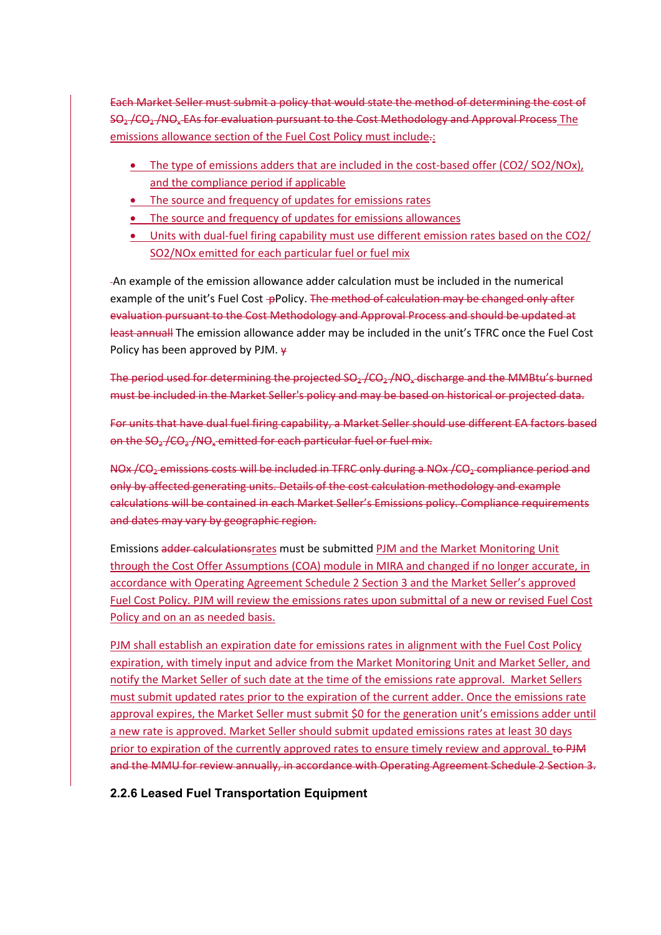Each Market Seller must submit a policy that would state the method of determining the cost of SO<sub>2</sub>/CO<sub>2</sub>/NO<sub>x</sub> EAs for evaluation pursuant to the Cost Methodology and Approval Process The emissions allowance section of the Fuel Cost Policy must include.:

- The type of emissions adders that are included in the cost-based offer (CO2/ SO2/NOx). and the compliance period if applicable
- The source and frequency of updates for emissions rates
- The source and frequency of updates for emissions allowances
- Units with dual-fuel firing capability must use different emission rates based on the CO2/ SO2/NOx emitted for each particular fuel or fuel mix

An example of the emission allowance adder calculation must be included in the numerical example of the unit's Fuel Cost -pPolicy. The method of calculation may be changed only after evaluation pursuant to the Cost Methodology and Approval Process and should be updated at least annuall The emission allowance adder may be included in the unit's TFRC once the Fuel Cost Policy has been approved by PJM.  $\psi$ 

The period used for determining the projected  $SO_2$ /CO<sub>2</sub>/NO<sub>x</sub> discharge and the MMBtu's burned must be included in the Market Seller's policy and may be based on historical or projected data.

For units that have dual fuel firing capability, a Market Seller should use different EA factors based on the  $SO_2$ /CO<sub>2</sub>/NO<sub>x</sub> emitted for each particular fuel or fuel mix.

NOx /CO<sub>2</sub> emissions costs will be included in TFRC only during a NOx /CO<sub>2</sub> compliance period and only by affected generating units. Details of the cost calculation methodology and example calculations will be contained in each Market Seller's Emissions policy. Compliance requirements and dates may vary by geographic region.

Emissions adder calculationsrates must be submitted PJM and the Market Monitoring Unit through the Cost Offer Assumptions (COA) module in MIRA and changed if no longer accurate, in accordance with Operating Agreement Schedule 2 Section 3 and the Market Seller's approved Fuel Cost Policy. PJM will review the emissions rates upon submittal of a new or revised Fuel Cost Policy and on an as needed basis.

PJM shall establish an expiration date for emissions rates in alignment with the Fuel Cost Policy expiration, with timely input and advice from the Market Monitoring Unit and Market Seller, and notify the Market Seller of such date at the time of the emissions rate approval. Market Sellers must submit updated rates prior to the expiration of the current adder. Once the emissions rate approval expires, the Market Seller must submit \$0 for the generation unit's emissions adder until a new rate is approved. Market Seller should submit updated emissions rates at least 30 days prior to expiration of the currently approved rates to ensure timely review and approval. to PJM and the MMU for review annually, in accordance with Operating Agreement Schedule 2 Section 3.

#### **2.2.6 Leased Fuel Transportation Equipment**